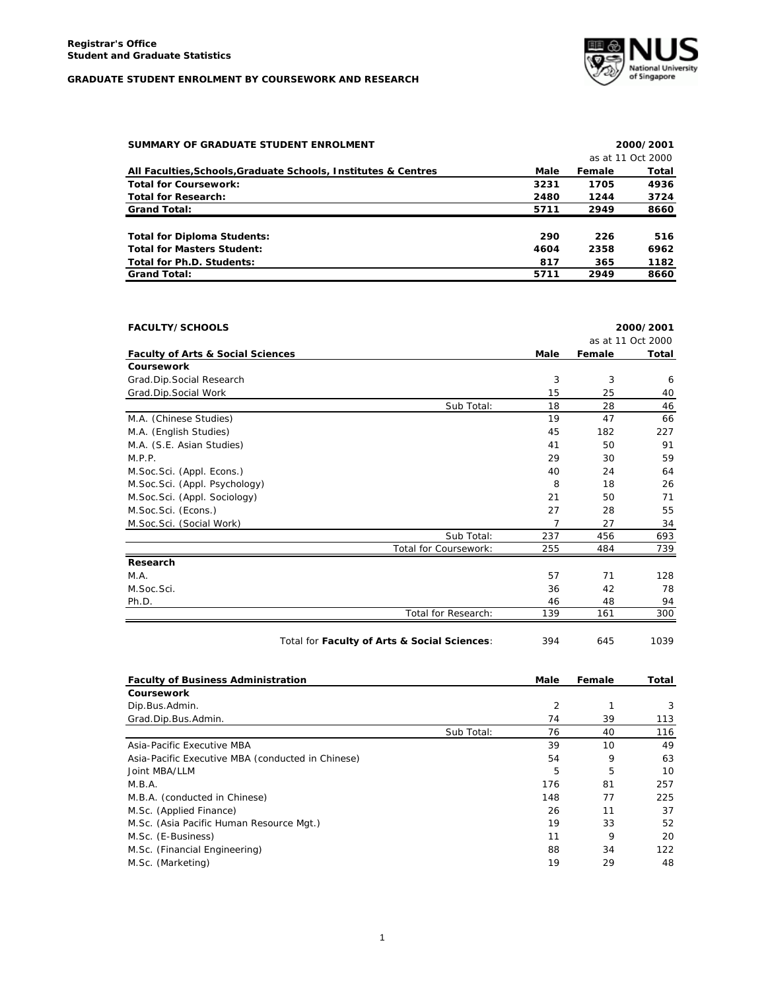

| SUMMARY OF GRADUATE STUDENT ENROLMENT                          |      |        | 2000/2001         |
|----------------------------------------------------------------|------|--------|-------------------|
|                                                                |      |        | as at 11 Oct 2000 |
| All Faculties, Schools, Graduate Schools, Institutes & Centres | Male | Female | Total             |
| <b>Total for Coursework:</b>                                   | 3231 | 1705   | 4936              |
| <b>Total for Research:</b>                                     | 2480 | 1244   | 3724              |
| <b>Grand Total:</b>                                            | 5711 | 2949   | 8660              |
| <b>Total for Diploma Students:</b>                             | 290  | 226    | 516               |
| <b>Total for Masters Student:</b>                              | 4604 | 2358   | 6962              |
| Total for Ph.D. Students:                                      | 817  | 365    | 1182              |
| <b>Grand Total:</b>                                            | 5711 | 2949   | 8660              |

| <b>FACULTY/SCHOOLS</b>                       |                       |      |        | 2000/2001         |
|----------------------------------------------|-----------------------|------|--------|-------------------|
|                                              |                       |      |        | as at 11 Oct 2000 |
| <b>Faculty of Arts &amp; Social Sciences</b> |                       | Male | Female | Total             |
| Coursework                                   |                       |      |        |                   |
| Grad.Dip.Social Research                     |                       | 3    | 3      | 6                 |
| Grad.Dip.Social Work                         |                       | 15   | 25     | 40                |
|                                              | Sub Total:            | 18   | 28     | 46                |
| M.A. (Chinese Studies)                       |                       | 19   | 47     | 66                |
| M.A. (English Studies)                       |                       | 45   | 182    | 227               |
| M.A. (S.E. Asian Studies)                    |                       | 41   | 50     | 91                |
| M.P.P.                                       |                       | 29   | 30     | 59                |
| M.Soc.Sci. (Appl. Econs.)                    |                       | 40   | 24     | 64                |
| M.Soc.Sci. (Appl. Psychology)                |                       | 8    | 18     | 26                |
| M.Soc.Sci. (Appl. Sociology)                 |                       | 21   | 50     | 71                |
| M.Soc.Sci. (Econs.)                          |                       | 27   | 28     | 55                |
| M.Soc.Sci. (Social Work)                     |                       | 7    | 27     | 34                |
|                                              | Sub Total:            | 237  | 456    | 693               |
|                                              | Total for Coursework: | 255  | 484    | 739               |
| Research                                     |                       |      |        |                   |
| M.A.                                         |                       | 57   | 71     | 128               |
| M.Soc.Sci.                                   |                       | 36   | 42     | 78                |
| Ph.D.                                        |                       | 46   | 48     | 94                |
|                                              | Total for Research:   | 139  | 161    | 300               |
|                                              |                       |      |        |                   |

| Total for Faculty of Arts & Social Sciences: | 394 | 645 | 1039 |
|----------------------------------------------|-----|-----|------|
|----------------------------------------------|-----|-----|------|

| <b>Faculty of Business Administration</b>         |            | Male           | Female | Total |
|---------------------------------------------------|------------|----------------|--------|-------|
| Coursework                                        |            |                |        |       |
| Dip.Bus.Admin.                                    |            | $\overline{2}$ |        | 3     |
| Grad.Dip.Bus.Admin.                               |            | 74             | 39     | 113   |
|                                                   | Sub Total: | 76             | 40     | 116   |
| Asia-Pacific Executive MBA                        |            | 39             | 10     | 49    |
| Asia-Pacific Executive MBA (conducted in Chinese) |            | 54             | 9      | 63    |
| Joint MBA/LLM                                     |            | 5              | 5      | 10    |
| M.B.A.                                            |            | 176            | 81     | 257   |
| M.B.A. (conducted in Chinese)                     |            | 148            | 77     | 225   |
| M.Sc. (Applied Finance)                           |            | 26             | 11     | 37    |
| M.Sc. (Asia Pacific Human Resource Mgt.)          |            | 19             | 33     | 52    |
| M.Sc. (E-Business)                                |            | 11             | 9      | 20    |
| M.Sc. (Financial Engineering)                     |            | 88             | 34     | 122   |
| M.Sc. (Marketing)                                 |            | 19             | 29     | 48    |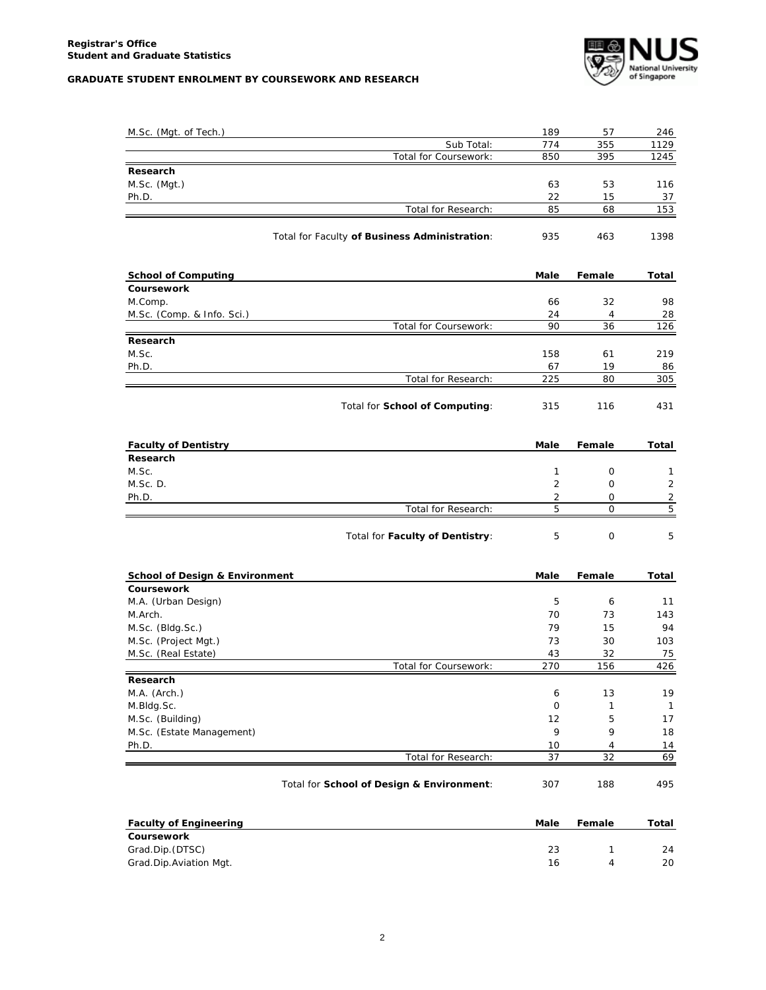

| M.Sc. (Mgt. of Tech.)                         | 189            | 57           | 246            |
|-----------------------------------------------|----------------|--------------|----------------|
| Sub Total:                                    | 774            | 355          | 1129           |
| Total for Coursework:                         | 850            | 395          | 1245           |
| Research                                      |                |              |                |
| M.Sc. (Mgt.)                                  | 63             | 53           | 116            |
| Ph.D.                                         | 22             | 15           | 37             |
| Total for Research:                           | 85             | 68           | 153            |
| Total for Faculty of Business Administration: | 935            | 463          | 1398           |
| <b>School of Computing</b>                    | Male           | Female       | Total          |
| Coursework                                    |                |              |                |
| M.Comp.                                       | 66             | 32           | 98             |
| M.Sc. (Comp. & Info. Sci.)                    | 24             | 4            | 28             |
| Total for Coursework:                         | 90             | 36           | 126            |
| Research<br>M.Sc.                             | 158            | 61           | 219            |
| Ph.D.                                         | 67             | 19           |                |
| Total for Research:                           | 225            | 80           | 86<br>305      |
|                                               |                |              |                |
| Total for School of Computing:                | 315            | 116          | 431            |
| <b>Faculty of Dentistry</b>                   | Male           | Female       | Total          |
| Research                                      |                |              |                |
| M.Sc.                                         | 1              | 0            | 1              |
| M.Sc.D.                                       | $\overline{2}$ | 0            | $\overline{2}$ |
| Ph.D.                                         | 2              | 0            | $\overline{c}$ |
| Total for Research:                           | 5              | $\mathbf 0$  | $\overline{5}$ |
| Total for Faculty of Dentistry:               | 5              | $\mathsf{O}$ | 5              |
| <b>School of Design &amp; Environment</b>     | Male           | Female       | Total          |
| Coursework                                    |                |              |                |
| M.A. (Urban Design)                           | 5              | 6            | 11             |
| M.Arch.                                       | 70             | 73           | 143            |
| M.Sc. (Bldg.Sc.)                              | 79             | 15           | 94             |
| M.Sc. (Project Mgt.)                          | 73             | 30           | 103            |
| M.Sc. (Real Estate)                           | 43             | 32           | 75             |
| Total for Coursework:<br>Research             | 270            | 156          | 426            |
| M.A. (Arch.)                                  | 6              | 13           | 19             |
| M.Bldg.Sc.                                    | 0              | $\mathbf{1}$ | $\mathbf{1}$   |
| M.Sc. (Building)                              | 12             | 5            | 17             |
| M.Sc. (Estate Management)                     | 9              | 9            | 18             |
| Ph.D.                                         | 10             | 4            | 14             |
| Total for Research:                           | 37             | 32           | 69             |
| Total for School of Design & Environment:     | 307            | 188          | 495            |
| <b>Faculty of Engineering</b>                 | Male           | Female       | Total          |
| Coursework                                    |                |              |                |
|                                               |                |              |                |
| Grad.Dip.(DTSC)<br>Grad.Dip.Aviation Mgt.     | 23<br>16       | 1<br>4       | 24<br>20       |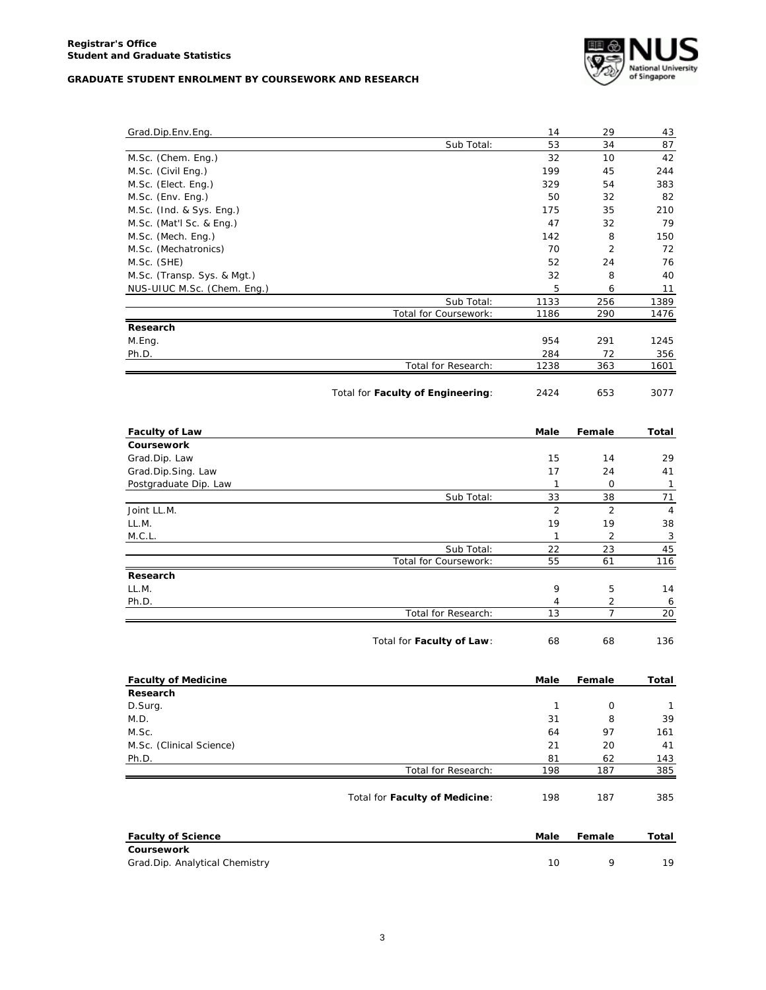

| Grad.Dip.Env.Eng.                      |                                     | 14             | 29             | 43           |
|----------------------------------------|-------------------------------------|----------------|----------------|--------------|
|                                        | Sub Total:                          | 53             | 34             | 87           |
| M.Sc. (Chem. Eng.)                     |                                     | 32             | 10             | 42           |
| M.Sc. (Civil Eng.)                     |                                     | 199            | 45             | 244          |
| M.Sc. (Elect. Eng.)                    |                                     | 329            | 54             | 383          |
| M.Sc. (Env. Eng.)                      |                                     | 50             | 32             | 82           |
| M.Sc. (Ind. & Sys. Eng.)               |                                     | 175            | 35             | 210          |
| M.Sc. (Mat'l Sc. & Eng.)               |                                     | 47             | 32             | 79           |
| M.Sc. (Mech. Eng.)                     |                                     | 142            | 8              | 150          |
| M.Sc. (Mechatronics)                   |                                     | 70             | 2              | 72           |
| M.Sc. (SHE)                            |                                     | 52             | 24             | 76           |
| M.Sc. (Transp. Sys. & Mgt.)            |                                     | 32             | 8              | 40           |
| NUS-UIUC M.Sc. (Chem. Eng.)            |                                     | 5              | 6              | 11           |
|                                        | Sub Total:                          | 1133           | 256            | 1389         |
|                                        | Total for Coursework:               | 1186           | 290            | 1476         |
| Research<br>M.Eng.                     |                                     | 954            | 291            | 1245         |
| Ph.D.                                  |                                     | 284            | 72             | 356          |
|                                        | Total for Research:                 | 1238           | 363            | 1601         |
|                                        |                                     |                |                |              |
|                                        | Total for Faculty of Engineering:   | 2424           | 653            | 3077         |
| <b>Faculty of Law</b>                  |                                     | Male           | Female         | Total        |
| Coursework                             |                                     |                |                |              |
| Grad.Dip. Law                          |                                     | 15             | 14             | 29           |
| Grad.Dip.Sing. Law                     |                                     | 17             | 24             | 41           |
| Postgraduate Dip. Law                  |                                     | 1              | $\mathbf 0$    | $\mathbf{1}$ |
|                                        | Sub Total:                          | 33             | 38             | 71           |
| Joint LL.M.                            |                                     | $\overline{2}$ | 2              | 4            |
| LL.M.                                  |                                     | 19             | 19             | 38           |
| M.C.L.                                 |                                     | 1              | $\overline{2}$ | 3            |
|                                        | Sub Total:<br>Total for Coursework: | 22<br>55       | 23<br>61       | 45           |
|                                        |                                     |                |                | 116          |
| Research                               |                                     |                |                |              |
| LL.M.<br>Ph.D.                         |                                     | 9<br>4         | 5<br>2         | 14<br>6      |
|                                        | Total for Research:                 | 13             | $\overline{7}$ | 20           |
|                                        | Total for Faculty of Law:           | 68             | 68             | 136          |
|                                        |                                     |                |                |              |
| <b>Faculty of Medicine</b><br>Research |                                     | Male           | Female         | Total        |
| D.Surg.                                |                                     | $\mathbf{1}$   | 0              | 1            |
| M.D.                                   |                                     | 31             | 8              | 39           |
| M.Sc.                                  |                                     | 64             | 97             | 161          |
| M.Sc. (Clinical Science)               |                                     | 21             | 20             | 41           |
| Ph.D.                                  |                                     | 81             | 62             | 143          |
|                                        | Total for Research:                 | 198            | 187            | 385          |
|                                        | Total for Faculty of Medicine:      | 198            | 187            | 385          |
| <b>Faculty of Science</b>              |                                     | Male           | Female         | Total        |
| Coursework                             |                                     |                |                |              |
| Grad.Dip. Analytical Chemistry         |                                     | 10             | 9              | 19           |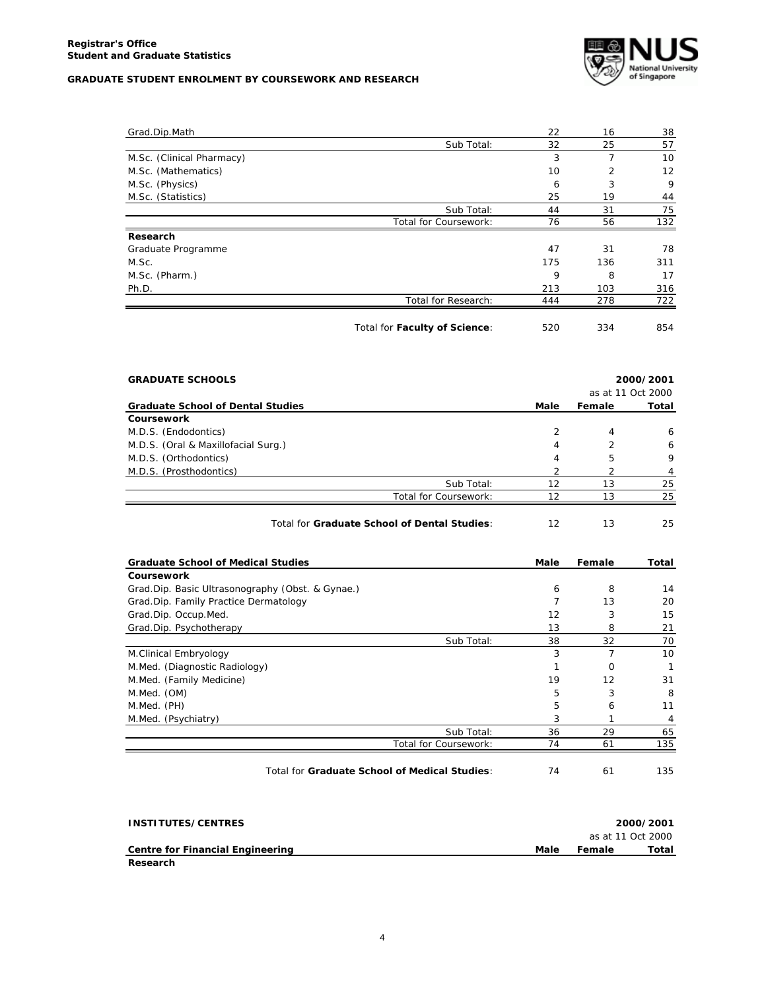

| Grad.Dip.Math             |                               | 22  | 16  | 38                |
|---------------------------|-------------------------------|-----|-----|-------------------|
|                           | Sub Total:                    | 32  | 25  | 57                |
| M.Sc. (Clinical Pharmacy) |                               | 3   | 7   | 10                |
| M.Sc. (Mathematics)       |                               | 10  | 2   | $12 \overline{ }$ |
| M.Sc. (Physics)           |                               | 6   | 3   | 9                 |
| M.Sc. (Statistics)        |                               | 25  | 19  | 44                |
|                           | Sub Total:                    | 44  | 31  | 75                |
|                           | Total for Coursework:         | 76  | 56  | 132               |
| Research                  |                               |     |     |                   |
| Graduate Programme        |                               | 47  | 31  | 78                |
| M.Sc.                     |                               | 175 | 136 | 311               |
| M.Sc. (Pharm.)            |                               | 9   | 8   | 17                |
| Ph.D.                     |                               | 213 | 103 | 316               |
|                           | Total for Research:           | 444 | 278 | 722               |
|                           | Total for Faculty of Science: | 520 | 334 | 854               |

| <b>GRADUATE SCHOOLS</b>                      | 2000/2001<br>as at 11 Oct 2000 |               |       |
|----------------------------------------------|--------------------------------|---------------|-------|
| <b>Graduate School of Dental Studies</b>     | Male                           | Female        | Total |
| Coursework                                   |                                |               |       |
| M.D.S. (Endodontics)                         | 2                              | 4             | 6     |
| M.D.S. (Oral & Maxillofacial Surg.)          | 4                              | $\mathcal{P}$ | 6     |
| M.D.S. (Orthodontics)                        | 4                              | 5             | 9     |
| M.D.S. (Prosthodontics)                      | 2                              |               |       |
| Sub Total:                                   | 12                             | 13            | 25    |
| Total for Coursework:                        | 12                             | 13            | 25    |
| Total for Graduate School of Dental Studies: | 12                             | 13            | 25    |

| <b>Graduate School of Medical Studies</b>        |                       | Male | Female   | Total           |
|--------------------------------------------------|-----------------------|------|----------|-----------------|
| Coursework                                       |                       |      |          |                 |
| Grad.Dip. Basic Ultrasonography (Obst. & Gynae.) |                       | 6    | 8        | 14              |
| Grad.Dip. Family Practice Dermatology            |                       | 7    | 13       | 20              |
| Grad.Dip. Occup.Med.                             |                       | 12   | 3        | 15              |
| Grad.Dip. Psychotherapy                          |                       | 13   | 8        | 21              |
|                                                  | Sub Total:            | 38   | 32       | 70              |
| M.Clinical Embryology                            |                       | 3    |          | 10 <sup>1</sup> |
| M.Med. (Diagnostic Radiology)                    |                       |      | $\Omega$ |                 |
| M.Med. (Family Medicine)                         |                       | 19   | 12       | 31              |
| M.Med. (OM)                                      |                       | 5    | 3        | 8               |
| M.Med. (PH)                                      |                       | 5    | 6        | 11              |
| M.Med. (Psychiatry)                              |                       | 3    |          | 4               |
|                                                  | Sub Total:            | 36   | 29       | 65              |
|                                                  | Total for Coursework: | 74   | 61       | 135             |
|                                                  |                       |      |          |                 |

Total for **Graduate School of Medical Studies**:  $\overline{74}$  61 135

| INSTITUTES/CENTRES               |      |        | 2000/2001         |
|----------------------------------|------|--------|-------------------|
|                                  |      |        | as at 11 Oct 2000 |
| Centre for Financial Engineering | Male | Female | Total             |
| Research                         |      |        |                   |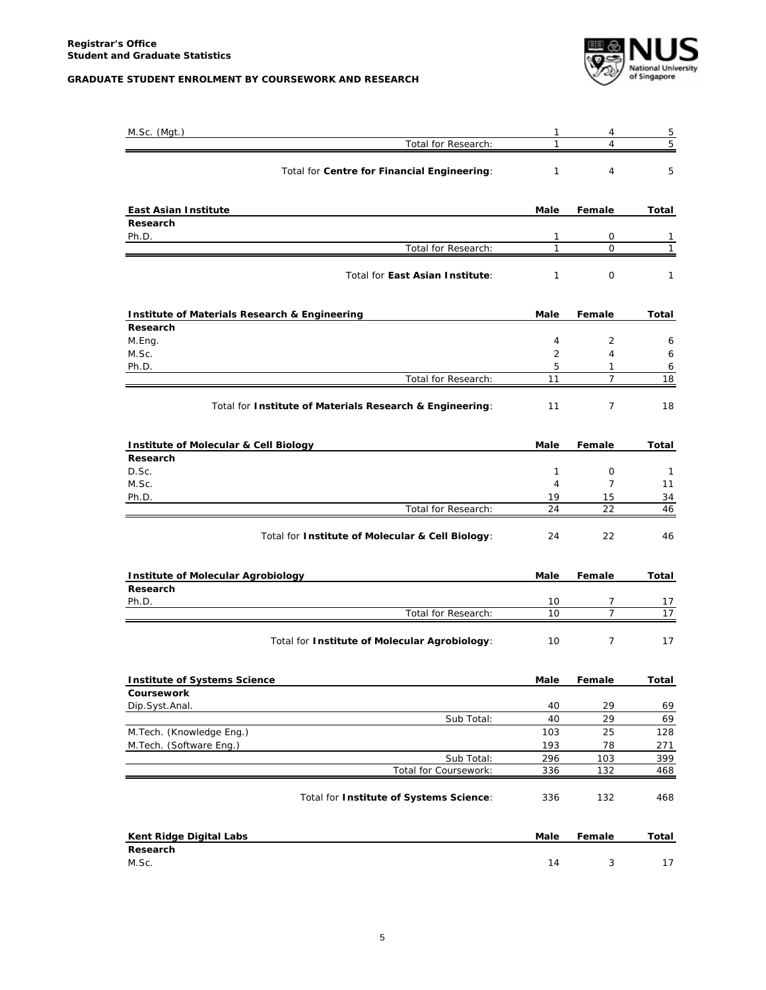

| M.Sc. (Mgt.)                                             | 1                            | 4                   | 5                 |
|----------------------------------------------------------|------------------------------|---------------------|-------------------|
| Total for Research:                                      | $\mathbf{1}$                 | 4                   | 5                 |
| Total for Centre for Financial Engineering:              | $\mathbf{1}$                 | $\overline{4}$      | 5                 |
| <b>East Asian Institute</b>                              | Male                         | Female              | Total             |
| Research                                                 |                              |                     |                   |
| Ph.D.<br>Total for Research:                             | $\mathbf{1}$<br>$\mathbf{1}$ | 0<br>0              | 1<br>$\mathbf{1}$ |
|                                                          |                              |                     |                   |
| Total for East Asian Institute:                          | $\mathbf{1}$                 | 0                   | 1                 |
| Institute of Materials Research & Engineering            | Male                         | Female              | Total             |
| Research                                                 |                              |                     |                   |
| M.Eng.<br>M.Sc.                                          | 4<br>2                       | 2<br>$\overline{4}$ | 6<br>6            |
| Ph.D.                                                    | 5                            | 1                   | 6                 |
| Total for Research:                                      | 11                           | $\overline{7}$      | 18                |
| Total for Institute of Materials Research & Engineering: | 11                           | $\overline{7}$      | 18                |
| Institute of Molecular & Cell Biology                    | Male                         | Female              | Total             |
| Research<br>D.Sc.                                        | $\mathbf{1}$                 | 0                   | $\mathbf{1}$      |
| M.Sc.                                                    | 4                            | $\overline{7}$      | 11                |
| Ph.D.                                                    | 19                           | 15                  | 34                |
| Total for Research:                                      | 24                           | 22                  | 46                |
| Total for Institute of Molecular & Cell Biology:         | 24                           | 22                  | 46                |
| <b>Institute of Molecular Agrobiology</b>                | Male                         | Female              | Total             |
| Research                                                 |                              |                     |                   |
| Ph.D.<br>Total for Research:                             | 10<br>10                     | 7<br>7              | 17<br>17          |
| Total for Institute of Molecular Agrobiology:            | 10                           | $\overline{7}$      | 17                |
| <b>Institute of Systems Science</b>                      | Male                         | Female              | Total             |
| Coursework                                               |                              |                     |                   |
| Dip.Syst.Anal.                                           | 40                           | 29                  | 69                |
| Sub Total:                                               | 40                           | 29                  | 69                |
| M.Tech. (Knowledge Eng.)<br>M.Tech. (Software Eng.)      | 103<br>193                   | 25<br>78            | 128<br>271        |
| Sub Total:                                               | 296                          | 103                 | 399               |
| Total for Coursework:                                    | 336                          | 132                 | <u>468 </u>       |
| Total for Institute of Systems Science:                  | 336                          | 132                 | 468               |
| Kent Ridge Digital Labs                                  | Male                         | Female              | Total             |
| Research<br>M.Sc.                                        | 14                           | 3                   | 17                |